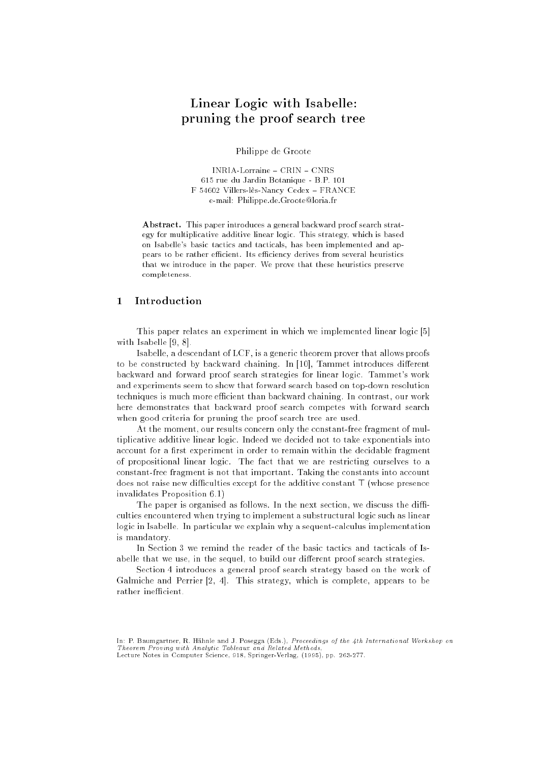# Linear Logic with Isabelle: pruning the proof search tree

Philippe de Groote

INRIA-Lorraine - CRIN - CNRS 615 rue du Jardin Botanique - B.P. 101 F 54602 Villers-lès-Nancy Cedex FRANCE e-mail: Philippe.de.Groote@loria.fr

Abstract. This paper introduces a general backward proof search strategy for multiplicative additive linear logic. This strategy, which is based on Isabelle's basic tactics and tacticals, has been implemented and appears to be rather efficient. Its efficiency derives from several heuristics that we introduce in the paper. We prove that these heuristics preserve completeness.

#### $\mathbf{1}$ **Introduction**

This paper relates an experiment in which we implemented linear logic [5] with Isabelle [9, 8].

Isabelle, a descendant of LCF, is a generic theorem prover that allows proofs to be constructed by backward chaining. In [10], Tammet introduces different backward and forward proof search strategies for linear logic. Tammet's work and experiments seem to show that forward search based on top-down resolution techniques is much more efficient than backward chaining. In contrast, our work here demonstrates that backward proof search competes with forward search when good criteria for pruning the proof search tree are used.

At the moment, our results concern only the constant-free fragment of multiplicative additive linear logic. Indeed we decided not to take exponentials into account for a first experiment in order to remain within the decidable fragment of propositional linear logic. The fact that we are restricting ourselves to a constant-free fragment is not that important. Taking the constants into account does not raise new difficulties except for the additive constant  $\top$  (whose presence invalidates Proposition 6.1)

The paper is organised as follows. In the next section, we discuss the difficulties encountered when trying to implement a substructural logic such as linear logic in Isabelle. In particular we explain why a sequent-calculus implementation is mandatory.

In Section 3 we remind the reader of the basic tactics and tacticals of Isabelle that we use, in the sequel, to build our different proof search strategies.

Section 4 introduces a general proof search strategy based on the work of Galmiche and Perrier [2, 4]. This strategy, which is complete, appears to be rather inefficient.

In: P. Baumgartner, R. Hähnle and J. Posegga (Eds.), Proceedings of the 4th International Workshop on Theorem Proving with Analytic Tableaux and Related Methods, Lecture Notes in Computer Science, 918, Springer-Verlag, (1995), pp. 263-277.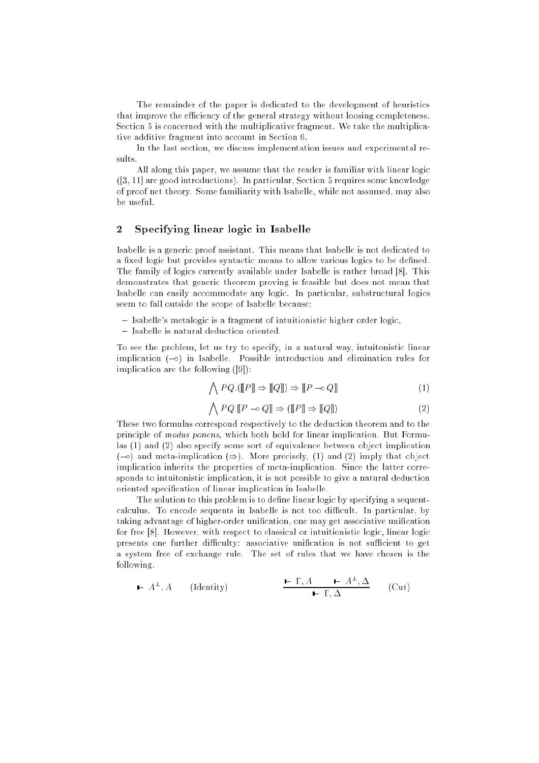The remainder of the paper is dedicated to the development of heuristics that improve the efficiency of the general strategy without loosing completeness. Section 5 is concerned with the multiplicative fragment. We take the multiplicative additive fragment into account in Section 6.

In the last section, we discuss implementation issues and experimental results.

All along this paper, we assume that the reader is familiar with linear logic ([3, 11] are good introductions). In particular, Section 5 requires some knowledge of proof net theory. Some familiarity with Isabelle, while not assumed, may also be useful.

#### $\overline{2}$ Specifying linear logic in Isabelle

Isabelle is a generic proof assistant. This means that Isabelle is not dedicated to a fixed logic but provides syntactic means to allow various logics to be defined. The family of logics currently available under Isabelle is rather broad [8]. This demonstrates that generic theorem proving is feasible but does not mean that Isabelle can easily accommodate any logic. In particular, substructural logics seem to fall outside the scope of Isabelle because:

- $-$  Isabelle's metalogic is a fragment of intuitionistic higher order logic,
- Isabelle is natural deduction oriented.

To see the problem, let us try to specify, in a natural way, intuitonistic linear implication  $(-\infty)$  in Isabelle. Possible introduction and elimination rules for implication are the following ([9]):

$$
\bigwedge PQ.([\![P]\!]\!] \Rightarrow [\![Q]\!]) \Rightarrow [\![P \multimap Q]\!]
$$
\n
$$
(1)
$$

$$
\bigwedge PQ \cdot \llbracket P \multimap Q \rrbracket \Rightarrow (\llbracket P \rrbracket \Rightarrow \llbracket Q \rrbracket) \tag{2}
$$

These two formulas correspond respectively to the deduction theorem and to the principle of modus ponens, which both hold for linear implication. But Formulas (1) and (2) also specify some sort of equivalence between object implication (- $\circ$ ) and meta-implication ( $\Rightarrow$ ). More precisely, (1) and (2) imply that object implication inherits the properties of meta-implication. Since the latter corresponds to intuitonistic implication, it is not possible to give a natural deduction oriented specification of linear implication in Isabelle.

The solution to this problem is to define linear logic by specifying a sequentcalculus. To encode sequents in Isabelle is not too difficult. In particular, by taking advantage of higher-order unication, one may get associative unication for free [8]. However, with respect to classical or intuitionistic logic, linear logic presents one further difficulty: associative unification is not sufficient to get a system free of exchange rule. The set of rules that we have chosen is the following.

$$
\vdash A^{\perp}, A \qquad \text{(Identity)} \qquad \qquad \begin{array}{c} \vdash \Gamma, A \qquad \vdash A^{\perp}, \Delta \\ \vdash \Gamma, \Delta \end{array} \qquad \text{(Cut)}
$$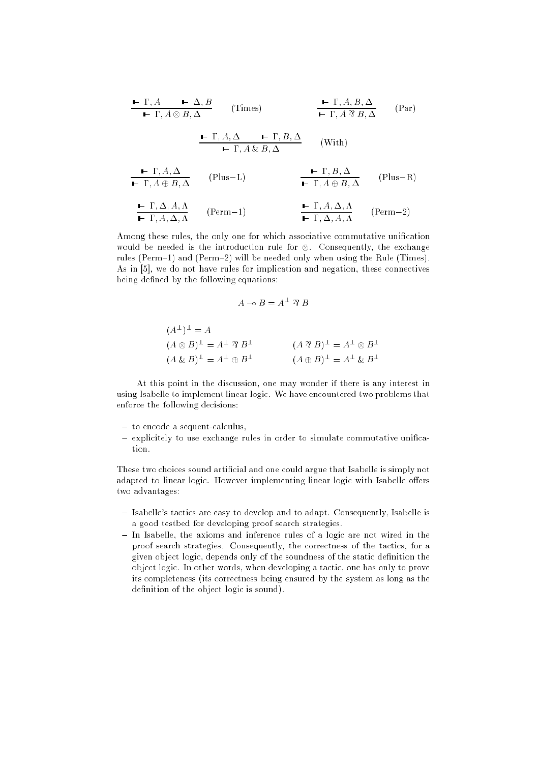$$
\begin{array}{c|c}\n\text{I. } P, A \longrightarrow A, B \\
\hline\n\text{I. } P, A \otimes B, \Delta\n\end{array} \qquad \text{(Times)} \qquad\n\begin{array}{c}\n\text{I. } P, A, B, \Delta \\
\hline\n\text{I. } P, A, B, \Delta\n\end{array} \qquad \text{(Par)} \\
\begin{array}{c}\n\text{I. } P, A, \Delta \longrightarrow P, A, \Delta \\
\text{I. } P, A, \Delta \longrightarrow R\n\end{array} \qquad \text{(With)} \\
\begin{array}{c}\n\text{I. } P, A, \Delta \longrightarrow P, A, \Delta \\
\text{I. } P, A \otimes B, \Delta\n\end{array} \qquad \text{(Plus–R)} \\
\begin{array}{c}\n\text{I. } P, A \otimes B, \Delta\n\end{array} \qquad \text{(Plus–R)} \\
\begin{array}{c}\n\text{I. } P, A \oplus B, \Delta\n\end{array} \qquad \text{(Plus–R)} \\
\begin{array}{c}\n\text{I. } P, A, \Delta, A, \Delta \\
\text{I. } P, A, \Delta, A\n\end{array} \qquad \text{(Perm–2)} \\
\begin{array}{c}\n\text{I. } P, A, \Delta, A, \Delta\n\end{array} \qquad \text{(Perm–2)}\n\end{array}
$$

Among these rules, the only one for which associative commutative unification would be needed is the introduction rule for . Consequently, the exchange rules (Perm-1) and (Perm-2) will be needed only when using the Rule (Times). As in [5], we do not have rules for implication and negation, these connectives being defined by the following equations:

$$
A \multimap B = A^{\perp} \mathcal{B} B
$$

$$
(A^{\perp})^{\perp} = A
$$
  
\n
$$
(A \otimes B)^{\perp} = A^{\perp} \otimes B^{\perp}
$$
  
\n
$$
(A \otimes B)^{\perp} = A^{\perp} \oplus B^{\perp}
$$
  
\n
$$
(A \oplus B)^{\perp} = A^{\perp} \otimes B^{\perp}
$$
  
\n
$$
(A \oplus B)^{\perp} = A^{\perp} \otimes B^{\perp}
$$

At this point in the discussion, one may wonder if there is any interest in using Isabelle to implement linear logic. We have encountered two problems that enforce the following decisions:

- to encode a sequent-calculus,
- explicitely to use exchange rules in order to simulate commutative unification.

These two choices sound artificial and one could argue that Isabelle is simply not adapted to linear logic. However implementing linear logic with Isabelle offers two advantages:

- Isabelle's tactics are easy to develop and to adapt. Consequently, Isabelle is a good testbed for developing proof search strategies.
- $-$  In Isabelle, the axioms and inference rules of a logic are not wired in the proof search strategies. Consequently, the correctness of the tactics, for a given object logic, depends only of the soundness of the static denition the object logic. In other words, when developing a tactic, one has only to prove its completeness (its correctness being ensured by the system as long as the definition of the object logic is sound).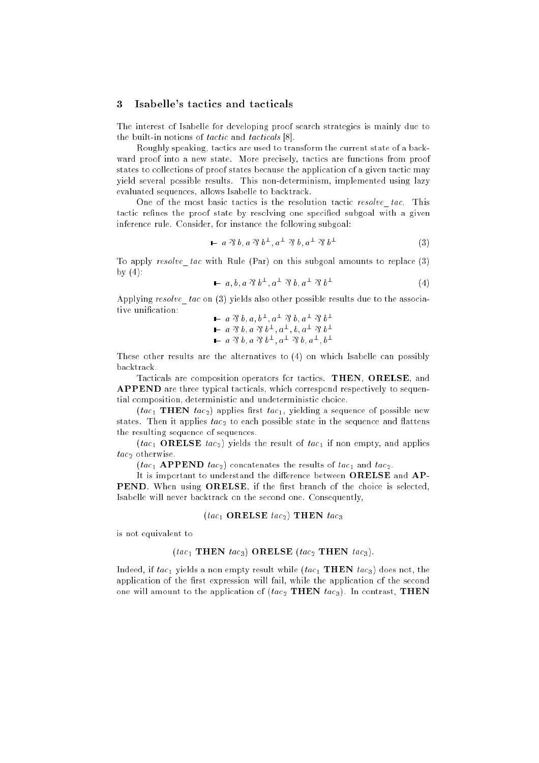## 3 Isabelle's tactics and tacticals

The interest of Isabelle for developing proof search strategies is mainly due to the built-in notions of tactic and tacticals [8].

Roughly speaking, tactics are used to transform the current state of a backward proof into a new state. More precisely, tactics are functions from proof states to collections of proof states because the application of a given tactic may yield several possible results. This non-determinism, implemented using lazy evaluated sequences, allows Isabelle to backtrack.

One of the most basic tactics is the resolution tactic resolve tac. This tactic refines the proof state by resolving one specified subgoal with a given inference rule. Consider, for instance the following subgoal:

$$
\mathbf{I} \quad a \; \mathcal{R} \; b, a \; \mathcal{R} \; b^{\perp}, a^{\perp} \; \mathcal{R} \; b, a^{\perp} \; \mathcal{R} \; b^{\perp} \tag{3}
$$

To apply resolve tac with Rule (Par) on this subgoal amounts to replace  $(3)$ by  $(4)$ :

$$
\blacktriangleright a, b, a \mathfrak{B} b^{\perp}, a^{\perp} \mathfrak{B} b, a^{\perp} \mathfrak{B} b^{\perp}
$$
 (4)

Applying resolve tac on  $(3)$  yields also other possible results due to the associative unification:

$$
\begin{array}{l}\n\blacktriangleright a \, 3 \, b \, , a \, , b^{\perp}, a^{\perp} \, 3 \, b \, , a^{\perp} \, 3 \, b^{\perp} \\
\blacktriangleright a \, 3 \, b \, , a \, 3 \, b^{\perp}, a^{\perp}, b \, , a^{\perp} \, 3 \, b^{\perp} \\
\blacktriangleright a \, 3 \, b \, , a \, 3 \, b^{\perp}, a^{\perp} \, 3 \, b \, , a^{\perp}, b^{\perp}\n\end{array}
$$

These other results are the alternatives to (4) on which Isabelle can possibly backtrack.

Tacticals are composition operators for tactics. THEN, ORELSE, and APPEND are three typical tacticals, which correspond respectively to sequential composition, deterministic and undeterministic choice.

(tac<sub>1</sub> THEN tac<sub>2</sub>) applies first tac<sub>1</sub>, yielding a sequence of possible new states. Then it applies  $tac_2$  to each possible state in the sequence and flattens the resulting sequence of sequences.

(tac<sub>1</sub> ORELSE tac<sub>2</sub>) yields the result of tac<sub>1</sub> if non empty, and applies  $tac_2$  otherwise.

 $(tac_1$  **APPEND**  $tac_2$  concatenates the results of  $tac_1$  and  $tac_2$ .

It is important to understand the difference between ORELSE and AP-PEND. When using ORELSE, if the first branch of the choice is selected, Isabelle will never backtrack on the second one. Consequently,

### $(tac_1 \text{ ORELSE } tac_2)$  THEN  $tac_3$

is not equivalent to

### (tac<sub>1</sub> THEN tac<sub>3</sub>) ORELSE (tac<sub>2</sub> THEN tac<sub>3</sub>).

Indeed, if  $tac_1$  yields a non empty result while  $(tac_1 \text{ THEN } tac_3)$  does not, the application of the first expression will fail, while the application of the second one will amount to the application of  $(tac_2 \text{ THEN } tac_3)$ . In contrast, THEN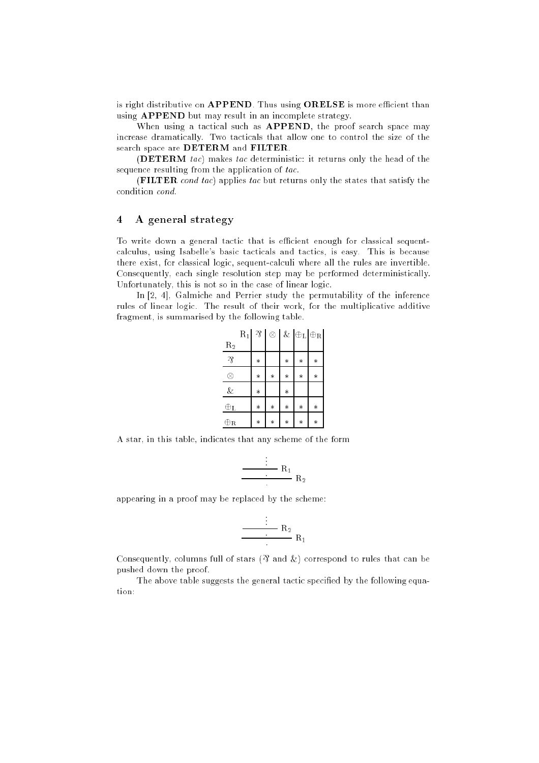is right distributive on APPEND. Thus using ORELSE is more efficient than using APPEND but may result in an incomplete strategy.

When using a tactical such as APPEND, the proof search space may increase dramatically. Two tacticals that allow one to control the size of the search space are DETERM and FILTER.

(DETERM tac) makes tac deterministic: it returns only the head of the sequence resulting from the application of tac.

(FILTER cond tac) applies tac but returns only the states that satisfy the condition cond.

### 4 A general strategy

To write down a general tactic that is efficient enough for classical sequentcalculus, using Isabelle's basic tacticals and tactics, is easy. This is because there exist, for classical logic, sequent-calculi where all the rules are invertible. Consequently, each single resolution step may be performed deterministically. Unfortunately, this is not so in the case of linear logic.

In [2, 4], Galmiche and Perrier study the permutability of the inference rules of linear logic. The result of their work, for the multiplicative additive fragment, is summarised by the following table.

|                     | $R_1$ | $\gamma\hskip-3pt_{\textstyle\!}$ | $^{\circ}$ |        | $\&$ $\mathrel{\oplus}_\mathrm{L}\mathrel{\oplus}_\mathrm{R}$ |        |
|---------------------|-------|-----------------------------------|------------|--------|---------------------------------------------------------------|--------|
| $R_2$               |       |                                   |            |        |                                                               |        |
| $\sqrt{2}$          |       | $\ast$                            |            | $\ast$ | $\ast$                                                        | $\ast$ |
| 8                   |       | $\ast$                            | $\ast$     | $\ast$ | $\ast$                                                        | $\ast$ |
| &                   |       | $\ast$                            |            | $\ast$ |                                                               |        |
| $\oplus$ L          |       | $\ast$                            | $\ast$     | $\ast$ | $\ast$                                                        | $\ast$ |
| $\oplus_\mathbf{R}$ |       | $\ast$                            | $\ast$     | $\ast$ | $\ast$                                                        | $\ast$ |

A star, in this table, indicates that any scheme of the form

$$
\frac{\cdot}{\cdot} \cdot R_1 R_2
$$

appearing in a proof may be replaced by the scheme:

$$
\frac{\cdot}{\cdot} \cdot R_2 R_1
$$

Consequently, columns full of stars ( $\mathfrak A$  and  $\&$ ) correspond to rules that can be pushed down the proof.

The above table suggests the general tactic specified by the following equation: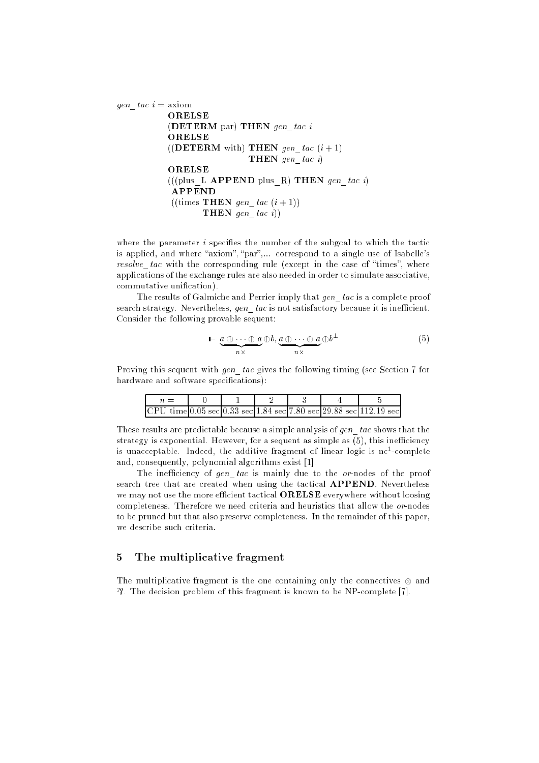```
gen tac i = axiom
           ORELSE
           (DETERM par) THEN gen_tac i
           ((DETERM with) THEN gen tac (i + 1)THEN gen tac i)
           ORELSE
           (((\text{plus\_L \text{ APPEND plus\_R}) \text{ THEN gen\_tac } i})APPEND
            ((times\text{THEN }gen\_tac (i+1)))THEN gen tac i))
```
where the parameter  $i$  specifies the number of the subgoal to which the tactic is applied, and where "axiom", "par",... correspond to a single use of Isabelle's resolve tac with the corresponding rule (except in the case of "times", where applications of the exchange rules are also needed in order to simulate associative, commutative unication).

The results of Galmiche and Perrier imply that gen tac is a complete proof search strategy. Nevertheless, gen tac is not satisfactory because it is inefficient. Consider the following provable sequent:

$$
\vdash \underbrace{a \oplus \cdots \oplus a}_{n \times} \oplus b, \underbrace{a \oplus \cdots \oplus a}_{n \times} \oplus b^{\perp} \tag{5}
$$

Proving this sequent with gen\_tac gives the following timing (see Section 7 for hardware and software specifications):

|  |  |  | CPU time 0.05 sec 0.33 sec 1.84 sec 7.80 sec 29.88 sec 112.19 sec |
|--|--|--|-------------------------------------------------------------------|

These results are predictable because a simple analysis of gen tac shows that the strategy is exponential. However, for a sequent as simple as  $(5)$ , this inefficiency is unacceptable. Indeed, the additive fragment of linear logic is nc--complete and, consequently, polynomial algorithms exist [1].

The inefficiency of gen tac is mainly due to the or-nodes of the proof search tree that are created when using the tactical APPEND. Nevertheless we may not use the more efficient tactical **ORELSE** everywhere without loosing completeness. Therefore we need criteria and heuristics that allow the or-nodes to be pruned but that also preserve completeness. In the remainder of this paper, we describe such criteria.

#### $\overline{5}$ The multiplicative fragment

The multiplicative fragment is the one containing only the connectives and & . The decision problem of this fragment is known to be NP-complete [7].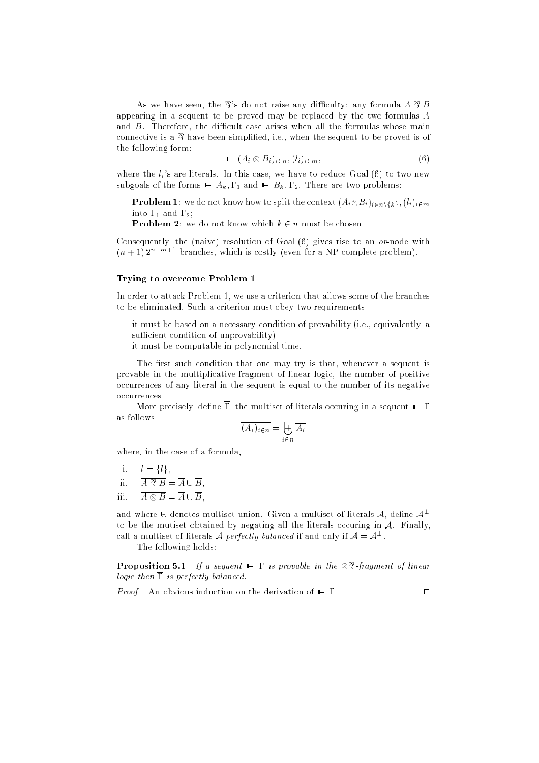As we have seen, the  $\mathcal{X}$ 's do not raise any difficulty: any formula A  $\mathcal{X}$  B appearing in a sequent to be proved may be replaced by the two formulas A and  $B$ . Therefore, the difficult case arises when all the formulas whose main connective is a  $\mathcal{\Re}$  have been simplified, i.e., when the sequent to be proved is of the following form:

$$
\blacktriangleright (A_i \otimes B_i)_{i \in n}, (l_i)_{i \in m}, \tag{6}
$$

where the  $l_i$ 's are literals. In this case, we have to reduce Goal  $(6)$  to two new subgoals of the forms  $\blacktriangleright$   $A_k$ ,  $\Gamma_1$  and  $\blacktriangleright$   $B_k$ ,  $\Gamma_2$ . There are two problems:

**F** FODIEIII 1. We do not know how to spin the context  $(A_i \otimes D_i)_{i \in n} \{k\}, (i_i)_{i \in m}$ into  $\Gamma_1$  and  $\Gamma_2$ ;

**Problem 2:** we do not know which  $k \in n$  must be chosen.

Consequently, the (naive) resolution of Goal  $(6)$  gives rise to an *or*-node with  $(n + 1) 2^{n+m+1}$  branches, which is costly (even for a NP-complete problem).

### Trying to overcome Problem 1

In order to attack Problem 1, we use a criterion that allows some of the branches to be eliminated. Such a criterion must obey two requirements:

- $i$  it must be based on a necessary condition of provability (i.e., equivalently, a sufficient condition of unprovability)
- $-$  it must be computable in polynomial time.

The first such condition that one may try is that, whenever a sequent is provable in the multiplicative fragment of linear logic, the number of positive occurrences of any literal in the sequent is equal to the number of its negative occurrences.

More precisely, define  $\overline{\Gamma}$ , the multiset of literals occuring in a sequent  $\vdash \Gamma$ as follows:

$$
\overline{(A_i)_{i \in n}} = \biguplus_{i \in n} \overline{A_i}
$$

where, in the case of a formula,

$$
i. \quad l = \{l\},
$$

- ii.  $A \mathcal{B} = A \oplus B$ ,
- iii. iii. A B <sup>=</sup> A ] B,

and where  $\uplus$  denotes multiset union. Given a multiset of literals A, define  $A^{\perp}$ to be the mutiset obtained by negating all the literals occuring in  $A$ . Finally, call a multiset of literals  ${\cal A}$  perfectly balanced if and only if  ${\cal A} \equiv {\cal A}^+$  .

The following holds:

**Proposition 5.1** If a sequent  $\blacksquare \Gamma$  is provable in the  $\otimes \mathfrak{B}$ -fragment of linear logic then  $\overline{\Gamma}$  is perfectly balanced.

*Proof.* An obvious induction on the derivation of  $\vdash \Gamma$ .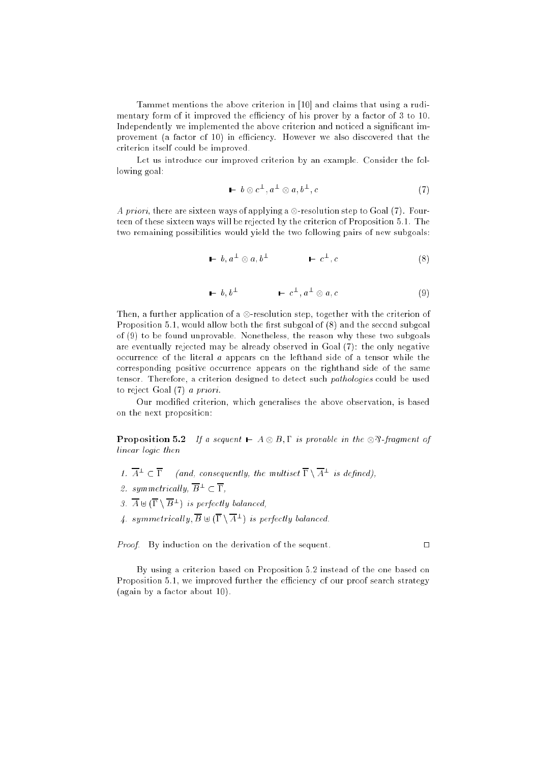Tammet mentions the above criterion in [10] and claims that using a rudimentary form of it improved the efficiency of his prover by a factor of 3 to 10. Independently we implemented the above criterion and noticed a signicant improvement (a factor of 10) in efficiency. However we also discovered that the criterion itself could be improved.

Let us introduce our improved criterion by an example. Consider the following goal:

$$
\mathbf{I} \quad b \otimes c^{\perp}, a^{\perp} \otimes a, b^{\perp}, c \tag{7}
$$

A priori, there are sixteen ways of applying a -resolution step to Goal (7). Fourteen of these sixteen ways will be rejected by the criterion of Proposition 5.1. The two remaining possibilities would yield the two following pairs of new subgoals:

$$
\mathbf{I} \quad b, a^{\perp} \otimes a, b^{\perp} \qquad \mathbf{I} \quad c^{\perp}, c \tag{8}
$$

$$
\mathbf{I} \vdash b, b^{\perp} \qquad \mathbf{I} \vdash c^{\perp}, a^{\perp} \otimes a, c \tag{9}
$$

Then, a further application of a -resolution step, together with the criterion of Proposition 5.1, would allow both the first subgoal of  $(8)$  and the second subgoal of (9) to be found unprovable. Nonetheless, the reason why these two subgoals are eventually rejected may be already observed in Goal (7): the only negative occurrence of the literal a appears on the lefthand side of a tensor while the corresponding positive occurrence appears on the righthand side of the same tensor. Therefore, a criterion designed to detect such pathologies could be used to reject Goal (7) a priori.

Our modified criterion, which generalises the above observation, is based on the next proposition:

**Proposition 5.2** If a sequent  $A \otimes B$ ,  $\Gamma$  is provable in the  $\otimes \mathfrak{B}$ -fragment of linear logic then

- 1.  $A^- \subset I$  (and, consequently, the multiset  $I \setminus A^-$  is defined),
- 2. symmetrically,  $\overline{B}^{\perp} \subset \overline{\Gamma}$ ,
- $\beta$ .  $A \cup \{ 1 \setminus B^- \}$  is perfectly balanced,
- 4. symmetricatly,  $D \cup \{ 1 \setminus A^+ \}$  is perfectly balanced.

*Proof.* By induction on the derivation of the sequent.  $\Box$ 

By using a criterion based on Proposition 5.2 instead of the one based on Proposition 5.1, we improved further the efficiency of our proof search strategy (again by a factor about 10).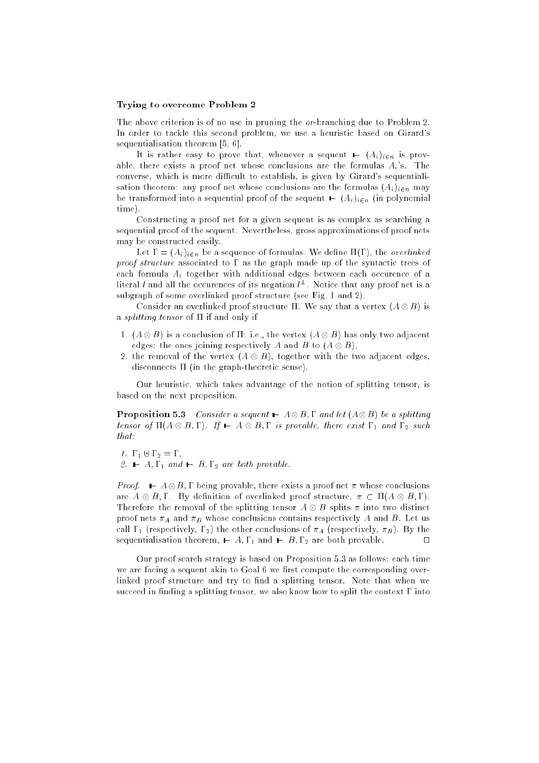### Trying to overcome Problem 2

The above criterion is of no use in pruning the or-branching due to Problem 2. In order to tackle this second problem, we use a heuristic based on Girard's sequentialisation theorem [5, 6].

It is rather easy to prove that, whenever a sequent  $\mathbf{F}$  ( $A_i$ )<sub>ien</sub> is provable, there exists a proof net whose conclusions are the formulas  $A_i$ 's. The converse, which is more difficult to establish, is given by Girard's sequentialisation theorem: any proof net whose conclusions are the formulas  $(A_i)_{i\in n}$  may be transformed into a sequential proof of the sequent  $\blacksquare$  (A<sub>i</sub>)<sub>i $\epsilon$ n</sub> (in polynomial time).

Constructing a proof net for a given sequent is as complex as searching a sequential proof of the sequent. Nevertheless, gross approximations of proof nets may be constructed easily.

Let  $\Gamma = (A_i)_{i \in n}$  be a sequence of formulas. We define  $\Pi(\Gamma)$ , the *overlinked* proof structure associated to  $\Gamma$  as the graph made up of the syntactic trees of each formula  $A_i$  together with additional edges between each occurence of a ifteral  $\iota$  and all the occurences of its negation  $\iota^-$  . Notice that any proof net is a subgraph of some overlinked proof structure (see Fig. 1 and 2).

consider and overline that a vertex structure . We say that a vertex (A  $\sim$  B) is a *splitting tensor* of  $\Pi$  if and only if

- 1. (A B) is a conclusion of : i.e., the vertex (A B) has only two adjacent edges: the ones ones jointed respectively in the B to (A () by ()
- 2. the removal of the removal (A () is it adjacented the very thin with the complete  $\alpha$ disconnects  $\Pi$  (in the graph-theoretic sense).

Our heuristic, which takes advantage of the notion of splitting tensor, is based on the next proposition.

Proposition 5.3 Consider a sequent <sup>A</sup>B; and let (A B) be a splitting tensor of  $\mathcal{A}$  and  $\mathcal{A}$  is provided to the exist in the exist  $\mathcal{A}$  and  $\mathcal{A}$  and  $\mathcal{A}$ that:

- 1.  $\Gamma_1 \oplus \Gamma_2 = \Gamma$ ,
- 2.  $\blacktriangleright$  A,  $\Gamma_1$  and  $\blacktriangleright$  B,  $\Gamma_2$  are both provable.

Proof. A B; being provable, there exists a proof net whose conclusions are an  $\cup$   $B$  ,  $\bullet$  . By definition of overlining proof structure,  $\theta$  . Let  $\cup$   $B$  ,  $\bullet$  ). Therefore the removal of the splitting tensor A B splits into two distinct proof nets  $\pi_A$  and  $\pi_B$  whose conclusions contains respectively A and B. Let us call  $\Gamma_1$  (respectively,  $\Gamma_2$ ) the other conclusions of  $\pi_A$  (respectively,  $\pi_B$ ). By the sequentialisation theorem,  $\blacktriangleright$  A,  $\Gamma_1$  and  $\blacktriangleright$  B,  $\Gamma_2$  are both provable.  $\Box$ 

Our proof search strategy is based on Proposition 5.3 as follows: each time we are facing a sequent akin to Goal 6 we first compute the corresponding overlinked proof structure and try to find a splitting tensor. Note that when we succeed in finding a splitting tensor, we also know how to split the context  $\Gamma$  into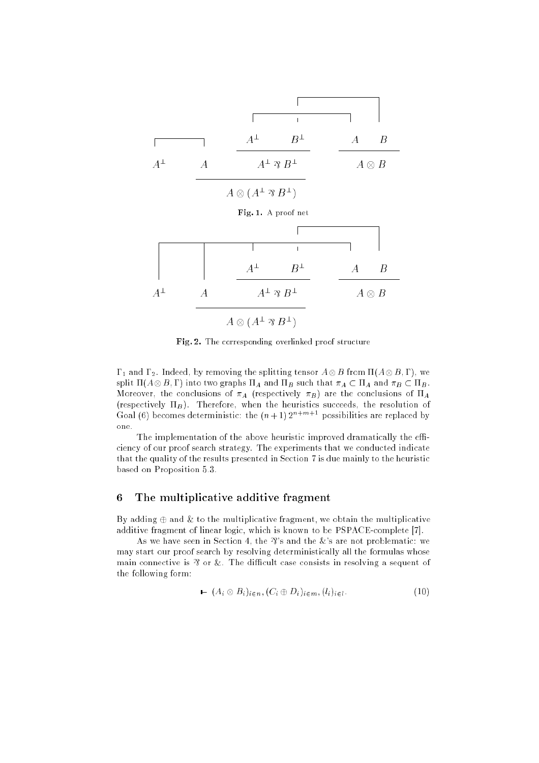

Fig. 2. The corresponding overlinked proof structure

 $\sim$  1 and 2. Indeed, by removing the splitting tensor AB  $\sim$  AB from  $\sim$  AB from (AB  $\sim$  AB from spin  $\Pi(A \otimes B, I)$  into two graphs  $\Pi A$  and  $\Pi B$  such that  $\pi A \subset \Pi A$  and  $\pi B \subset \Pi B$ . Moreover, the conclusions of  $\pi_A$  (respectively  $\pi_B$ ) are the conclusions of  $\Pi_A$ (respectively  $\Pi_B$ ). Therefore, when the heuristics succeeds, the resolution of Goal (6) becomes deterministic: the  $(n+1) 2^{n+m+1}$  possibilities are replaced by one.

The implementation of the above heuristic improved dramatically the efficiency of our proof search strategy. The experiments that we conducted indicate that the quality of the results presented in Section 7 is due mainly to the heuristic based on Proposition 5.3.

# 6 The multiplicative additive fragment

By adding  $\oplus$  and  $\&$  to the multiplicative fragment, we obtain the multiplicative additive fragment of linear logic, which is known to be PSPACE-complete [7].

As we have seen in Section 4, the  $\mathcal{X}$ 's and the  $\&$ 's are not problematic: we may start our proof search by resolving deterministically all the formulas whose main connective is  $\mathcal Y$  or  $\&$ . The difficult case consists in resolving a sequent of the following form:

$$
\blacktriangleright (A_i \otimes B_i)_{i \in n}, (C_i \oplus D_i)_{i \in m}, (l_i)_{i \in l}.
$$
\n
$$
(10)
$$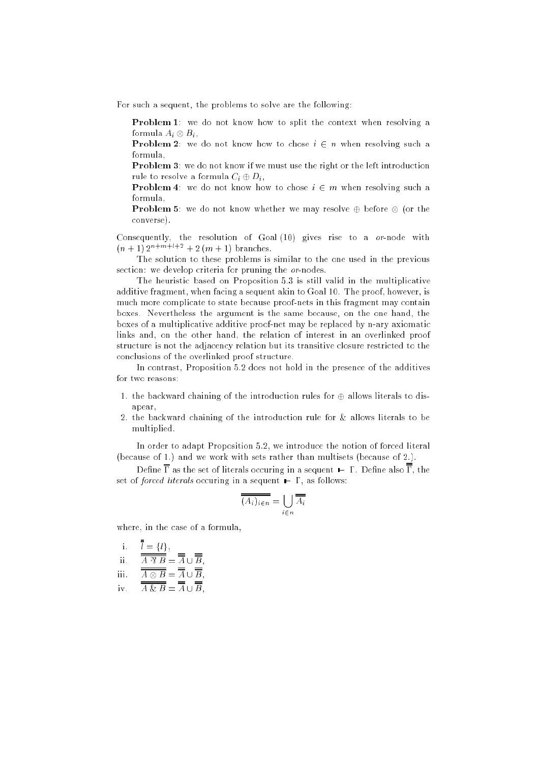For such a sequent, the problems to solve are the following:

Problem 1: we do not know how to split the context when resolving a югшчиа  $A_i \otimes D_i$ ,

**Problem 2:** we do not know how to chose  $i \in n$  when resolving such a formula,

Problem 3: we do not know if we must use the right or the left introduction rule to resolve a formula  $C_i \oplus D_i$ ,

**Problem 4:** we do not know how to chose  $i \in m$  when resolving such a formula,

Problem 5: we do not know whether we may resolve before (or the converse).

Consequently, the resolution of Goal (10) gives rise to a or-node with  $(n + 1) 2^{n+m+l+2} + 2 (m + 1)$  branches.

The solution to these problems is similar to the one used in the previous section: we develop criteria for pruning the or-nodes.

The heuristic based on Proposition 5.3 is still valid in the multiplicative additive fragment, when facing a sequent akin to Goal 10. The proof, however, is much more complicate to state because proof-nets in this fragment may contain boxes. Nevertheless the argument is the same because, on the one hand, the boxes of a multiplicative additive proof-net may be replaced by n-ary axiomatic links and, on the other hand, the relation of interest in an overlinked proof structure is not the adjacency relation but its transitive closure restricted to the conclusions of the overlinked proof structure.

In contrast, Proposition 5.2 does not hold in the presence of the additives for two reasons:

- 1. the backward chaining of the introduction rules for  $\oplus$  allows literals to disapear,
- 2. the backward chaining of the introduction rule for & allows literals to be multiplied.

In order to adapt Proposition 5.2, we introduce the notion of forced literal (because of 1.) and we work with sets rather than multisets (because of 2.).

Define  $\overline{\Gamma}$  as the set of literals occuring in a sequent  $\vdash \Gamma$ . Define also  $\overline{\overline{\Gamma}}$ , the set of *forced literals* occuring in a sequent  $\vdash \Gamma$ , as follows:

$$
\overline{(A_i)_{i \in n}} = \bigcup_{i \in n} \overline{A_i}
$$

where, in the case of a formula,

i. 
$$
\overline{I} = \{l\},
$$
  
ii.  $\overline{A \mathcal{B}} = \overline{A} \cup \overline{B},$   
iii.  $\overline{A \otimes B} = \overline{A} \cup \overline{B}$ 

$$
\lim_{m \to \infty} A \otimes B = A \cup B,
$$

 $\overline{\overline{A\&B}} = \overline{A} \cup \overline{B}$ ,  $\mathbf{i} \mathbf{v}$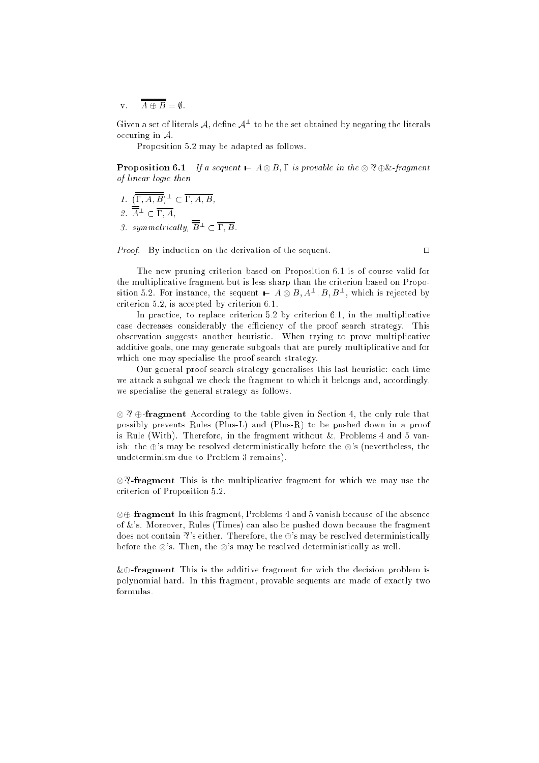v.  $\overline{A \oplus B} = \emptyset$ .

Given a set of interals  $\mathcal A$  , define  $\mathcal A^+$  to be the set obtained by negating the interals occuring in A.

Proposition 5.2 may be adapted as follows.

**Proposition 6.1** If a sequent  $\vdash A \otimes B, \Gamma$  is provable in the  $\otimes \mathfrak{B} \oplus \&$ -fragment of linear logic then

- 1.  $[1, A, D] \subseteq \subseteq 1, A, D$ ,  $Z.$   $A^-$  (  $\bm{1}$  ,  $A$  ,
- 3. symmetrically,  $\overline{\overline{B}}^{\perp} \subset \overline{\Gamma, B}$ .

Proof. By induction on the derivation of the sequent.

The new pruning criterion based on Proposition 6.1 is of course valid for the multiplicative fragment but is less sharp than the criterion based on Proposition  $\partial \varphi$ . For instance, the sequent  $\blacktriangleright$   $A \otimes D$ ,  $A^-, D, D^-,$  which is rejected by criterion 5.2, is accepted by criterion 6.1.

In practice, to replace criterion 5.2 by criterion 6.1, in the multiplicative case decreases considerably the efficiency of the proof search strategy. This observation suggests another heuristic. When trying to prove multiplicative additive goals, one may generate subgoals that are purely multiplicative and for which one may specialise the proof search strategy.

Our general proof search strategy generalises this last heuristic: each time we attack a subgoal we check the fragment to which it belongs and, accordingly, we specialise the general strategy as follows.

 $\otimes$   $\mathfrak{B}$   $\oplus$ -fragment According to the table given in Section 4, the only rule that possibly prevents Rules (Plus-L) and (Plus-R) to be pushed down in a proof is Rule (With). Therefore, in the fragment without  $\&$ , Problems 4 and 5 vanish: the  $\oplus$ 's may be resolved deterministically before the  $\otimes$ 's (nevertheless, the undeterminism due to Problem 3 remains).

 $\otimes$  **?**-fragment This is the multiplicative fragment for which we may use the criterion of Proposition 5.2.

 -fragment In this fragment, Problems 4 and 5 vanish because of the absence of  $\&$ 's. Moreover, Rules (Times) can also be pushed down because the fragment does not contain  $\mathfrak{F}'$ s either. Therefore, the  $\oplus$ 's may be resolved deterministically before the  $\otimes$ 's. Then, the  $\otimes$ 's may be resolved deterministically as well.

 $\&\oplus$ -fragment This is the additive fragment for wich the decision problem is polynomial hard. In this fragment, provable sequents are made of exactly two formulas.

 $\Box$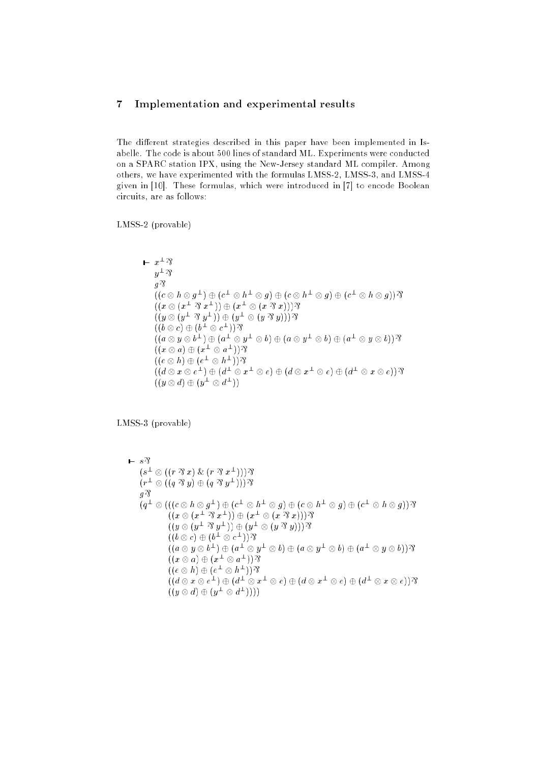# 7 Implementation and experimental results

The different strategies described in this paper have been implemented in Isabelle. The code is about 500 lines of standard ML. Experiments were conducted on a SPARC station IPX, using the New-Jersey standard ML compiler. Among others, we have experimented with the formulas LMSS-2, LMSS-3, and LMSS-4 given in [10]. These formulas, which were introduced in [7] to encode Boolean circuits, are as follows:

LMSS-2 (provable)

$$
\mathbf{L} \quad x^{\perp} \mathcal{R}
$$
\n
$$
y^{\perp} \mathcal{R}
$$
\n
$$
g \mathcal{R}
$$
\n
$$
((c \otimes h \otimes g^{\perp}) \oplus (c^{\perp} \otimes h^{\perp} \otimes g) \oplus (c \otimes h^{\perp} \otimes g) \oplus (c^{\perp} \otimes h \otimes g)) \mathcal{R}
$$
\n
$$
((x \otimes (x^{\perp} \otimes x^{\perp})) \oplus (x^{\perp} \otimes (x \otimes x))) \mathcal{R}
$$
\n
$$
((y \otimes (y^{\perp} \otimes y^{\perp})) \oplus (y^{\perp} \otimes (y \otimes y))) \mathcal{R}
$$
\n
$$
((b \otimes c) \oplus (b^{\perp} \otimes c^{\perp})) \mathcal{R}
$$
\n
$$
((a \otimes y \otimes b^{\perp}) \oplus (a^{\perp} \otimes y^{\perp} \otimes b) \oplus (a \otimes y^{\perp} \otimes b) \oplus (a^{\perp} \otimes y \otimes b)) \mathcal{R}
$$
\n
$$
((x \otimes a) \oplus (x^{\perp} \otimes a^{\perp})) \mathcal{R}
$$
\n
$$
((d \otimes x \otimes e^{\perp}) \oplus (d^{\perp} \otimes x^{\perp} \otimes e) \oplus (d \otimes x^{\perp} \otimes e) \oplus (d^{\perp} \otimes x \otimes e)) \mathcal{R}
$$
\n
$$
((y \otimes d) \oplus (y^{\perp} \otimes d^{\perp}))
$$

LMSS-3 (provable)

$$
\begin{array}{l} \mathbf{F} = s\mathfrak{F} \\ (s^{\perp} \otimes ((r \otimes x) \& (r \otimes x^{\perp})))\mathfrak{F} \\ (r^{\perp} \otimes ((q \otimes y) \oplus (q \otimes y^{\perp})))\mathfrak{F} \\ g\mathfrak{F} \\ (q^{\perp} \otimes (((c \otimes h \otimes g^{\perp}) \oplus (c^{\perp} \otimes h^{\perp} \otimes g) \oplus (c \otimes h^{\perp} \otimes g) \oplus (c^{\perp} \otimes h \otimes g))\mathfrak{F} \\ ((x \otimes (x^{\perp} \otimes x^{\perp})) \oplus (x^{\perp} \otimes (x \otimes x)))\mathfrak{F} \\ ((y \otimes (y^{\perp} \otimes y^{\perp})) \oplus (y^{\perp} \otimes (y \otimes y)))\mathfrak{F} \\ ((b \otimes c) \oplus (b^{\perp} \otimes c^{\perp}))\mathfrak{F} \\ ((a \otimes y \otimes b^{\perp}) \oplus (a^{\perp} \otimes y^{\perp} \otimes b) \oplus (a \otimes y^{\perp} \otimes b) \oplus (a^{\perp} \otimes y \otimes b))\mathfrak{F} \\ ((x \otimes a) \oplus (x^{\perp} \otimes a^{\perp}))\mathfrak{F} \\ ((d \otimes x \otimes e^{\perp}) \oplus (d^{\perp} \otimes x^{\perp} \otimes e) \oplus (d \otimes x^{\perp} \otimes e) \oplus (d^{\perp} \otimes x \otimes e))\mathfrak{F} \\ ((y \otimes d) \oplus (y^{\perp} \otimes d^{\perp})))\end{array}
$$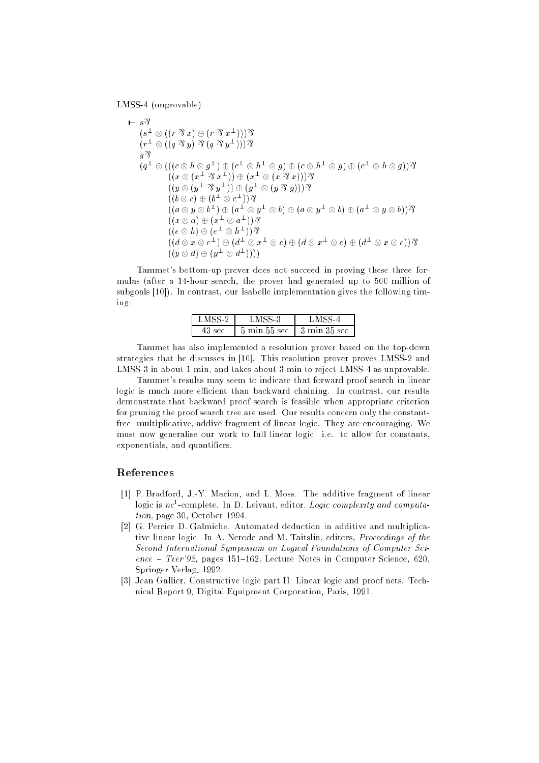LMSS-4 (unprovable)

$$
\begin{array}{l} \blacksquare = s \mathfrak{P} \\ (s^{\perp} \otimes ((r \mathrel{\mathfrak{D}} x) \oplus (r \mathrel{\mathfrak{D}} x^{\perp}))) \mathfrak{P} \\ (r^{\perp} \otimes ((q \mathrel{\mathfrak{D}} y) \mathrel{\mathfrak{D}} (q \mathrel{\mathfrak{D}} y^{\perp}))) \mathfrak{P} \\ g \mathfrak{P} \\ (q^{\perp} \otimes (((c \otimes h \otimes g^{\perp}) \oplus (c^{\perp} \otimes h^{\perp} \otimes g) \oplus (c \otimes h^{\perp} \otimes g) \oplus (c^{\perp} \otimes h \otimes g)) \mathfrak{P} \\ ((x \otimes (x^{\perp} \mathrel{\mathfrak{D}} x^{\perp})) \oplus (x^{\perp} \otimes (x \mathrel{\mathfrak{D}} x))) \mathfrak{P} \\ ((y \otimes (y^{\perp} \mathrel{\mathfrak{D}} y^{\perp})) \oplus (y^{\perp} \otimes (y \mathrel{\mathfrak{D}} y))) \mathfrak{P} \\ ((b \otimes c) \oplus (b^{\perp} \otimes c^{\perp})) \mathfrak{P} \\ ((a \otimes y \otimes b^{\perp}) \oplus (a^{\perp} \otimes y^{\perp} \otimes b) \oplus (a \otimes y^{\perp} \otimes b) \oplus (a^{\perp} \otimes y \otimes b)) \mathfrak{P} \\ ((x \otimes a) \oplus (x^{\perp} \otimes a^{\perp})) \mathfrak{P} \\ ((d \otimes x \otimes e^{\perp}) \oplus (d^{\perp} \otimes x^{\perp} \otimes e) \oplus (d \otimes x^{\perp} \otimes e) \oplus (d^{\perp} \otimes x \otimes e)) \mathfrak{P} \\ ((y \otimes d) \oplus (y^{\perp} \otimes d^{\perp}))) \end{array}
$$

Tammet's bottom-up prover does not succeed in proving these three formulas (after a 14-hour search, the prover had generated up to 500 million of subgoals [10]). In contrast, our Isabelle implementation gives the following timing:

| COP | $5 \text{ min } 55 \text{ sec}$ | $3 \text{ min } 35 \text{ sec}$ |  |
|-----|---------------------------------|---------------------------------|--|

Tammet has also implemented a resolution prover based on the top-down strategies that he discusses in [10]. This resolution prover proves LMSS-2 and LMSS-3 in about 1 min, and takes about 3 min to reject LMSS-4 as unprovable.

Tammet's results may seem to indicate that forward proof search in linear logic is much more efficient than backward chaining. In contrast, our results demonstrate that backward proof search is feasible when appropriate criterion for pruning the proof search tree are used. Our results concern only the constantfree, multiplicative, addive fragment of linear logic. They are encouraging. We must now generalise our work to full linear logic: i.e. to allow for constants, exponentials, and quantifiers.

## References

- [1] P. Bradford, J.-Y. Marion, and L. Moss. The additive fragment of linear  $\log$ ic is  $nc$ -complete. In D. Leivant, editor, *Logic complexity and computa*tion, page 30, October 1994.
- [2] G. Perrier D. Galmiche. Automated deduction in additive and multiplicative linear logic. In A. Nerode and M. Taitslin, editors, Proceedings of the Second International Symposium on Logical Foundations of Computer Sci $ence - Tver'92$ , pages 151-162. Lecture Notes in Computer Science, 620, Springer Verlag, 1992.
- [3] Jean Gallier. Constructive logic part II: Linear logic and proof nets. Technical Report 9, Digital Equipment Corporation, Paris, 1991.